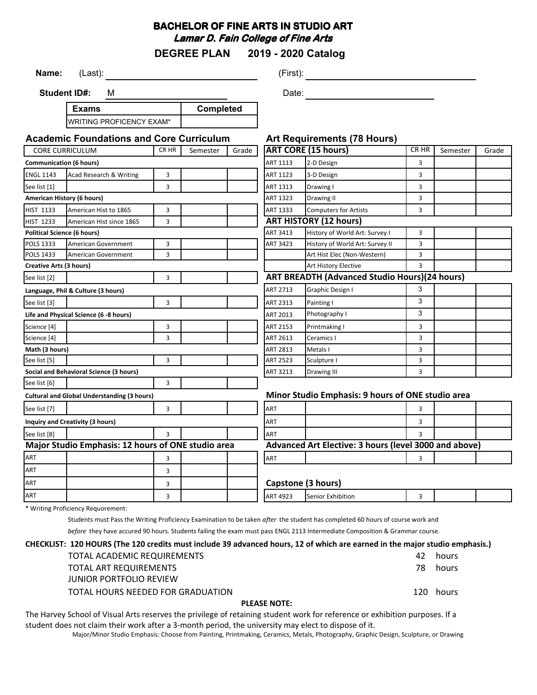## **BACHELOR OF FINE ARTS IN STUDIO ART Lamar D. Fain College of Fine Arts**

**DEGREE PLAN 2019 - 2020 Catalog**

**Name:** (Last): (First):

**Student ID#:** M

**Exams** WRITING PROFICENCY EXAM\* **Completed** Date:

| <b>Academic Foundations and Core Curriculum</b>    |                                        |       | <b>Art Requirements (78 Hours)</b>                    |                                                   |                                                       |                                 |                |          |       |
|----------------------------------------------------|----------------------------------------|-------|-------------------------------------------------------|---------------------------------------------------|-------------------------------------------------------|---------------------------------|----------------|----------|-------|
|                                                    | <b>CORE CURRICULUM</b>                 | CR HR | Semester                                              | Grade                                             |                                                       | <b>ART CORE (15 hours)</b>      | CR HR          | Semester | Grade |
| <b>Communication (6 hours)</b>                     |                                        |       |                                                       | ART 1113                                          | 2-D Design                                            | 3                               |                |          |       |
| <b>ENGL 1143</b>                                   | <b>Acad Research &amp; Writing</b>     | 3     |                                                       |                                                   | ART 1123                                              | 3-D Design                      | 3              |          |       |
| See list [1]                                       |                                        | 3     |                                                       |                                                   | ART 1313                                              | Drawing I                       | 3              |          |       |
| American History (6 hours)                         |                                        |       |                                                       | ART 1323                                          | Drawing II                                            | 3                               |                |          |       |
| <b>HIST 1133</b>                                   | American Hist to 1865                  | 3     |                                                       |                                                   | ART 1333                                              | <b>Computers for Artists</b>    | 3              |          |       |
| <b>HIST 1233</b>                                   | American Hist since 1865               | 3     |                                                       |                                                   | <b>ART HISTORY (12 hours)</b>                         |                                 |                |          |       |
|                                                    | <b>Political Science (6 hours)</b>     |       |                                                       |                                                   | ART 3413                                              | History of World Art: Survey I  | 3              |          |       |
| POLS 1333                                          | American Government                    | 3     |                                                       |                                                   | ART 3423                                              | History of World Art: Survey II | 3              |          |       |
| <b>POLS 1433</b>                                   | <b>American Government</b>             | 3     |                                                       |                                                   |                                                       | Art Hist Elec (Non-Western)     | 3              |          |       |
| <b>Creative Arts (3 hours)</b>                     |                                        |       |                                                       |                                                   |                                                       | Art History Elective            | 3              |          |       |
| See list [2]                                       |                                        | 3     |                                                       |                                                   | <b>ART BREADTH (Advanced Studio Hours) (24 hours)</b> |                                 |                |          |       |
| Language, Phil & Culture (3 hours)                 |                                        |       | <b>ART 2713</b>                                       | Graphic Design I                                  | 3                                                     |                                 |                |          |       |
| See list [3]                                       |                                        | 3     |                                                       |                                                   | ART 2313                                              | Painting I                      | 3              |          |       |
|                                                    | Life and Physical Science (6 -8 hours) |       |                                                       |                                                   | <b>ART 2013</b>                                       | 3<br>Photography I              |                |          |       |
| Science [4]                                        |                                        | 3     |                                                       |                                                   | ART 2153                                              | Printmaking I                   | 3              |          |       |
| Science [4]                                        |                                        | 3     |                                                       |                                                   | ART 2613                                              | Ceramics I                      | 3              |          |       |
| Math (3 hours)                                     |                                        |       | ART 2813                                              | 3<br>Metals I                                     |                                                       |                                 |                |          |       |
| See list [5]                                       |                                        | 3     |                                                       |                                                   | <b>ART 2523</b>                                       | Sculpture I                     | $\overline{3}$ |          |       |
| Social and Behavioral Science (3 hours)            |                                        |       | ART 3213                                              | Drawing III                                       | 3                                                     |                                 |                |          |       |
| See list [6]                                       |                                        | 3     |                                                       |                                                   |                                                       |                                 |                |          |       |
| <b>Cultural and Global Understanding (3 hours)</b> |                                        |       |                                                       | Minor Studio Emphasis: 9 hours of ONE studio area |                                                       |                                 |                |          |       |
| See list [7]                                       |                                        | 3     |                                                       |                                                   | ART                                                   |                                 | 3              |          |       |
| Inquiry and Creativity (3 hours)                   |                                        |       | ART                                                   |                                                   | 3                                                     |                                 |                |          |       |
| See list [8]                                       |                                        | 3     |                                                       |                                                   | ART                                                   |                                 |                |          |       |
| Major Studio Emphasis: 12 hours of ONE studio area |                                        |       | Advanced Art Elective: 3 hours (level 3000 and above) |                                                   |                                                       |                                 |                |          |       |
| ART                                                |                                        | 3     |                                                       |                                                   | <b>ART</b>                                            |                                 | 3              |          |       |
| <b>ART</b>                                         |                                        | 3     |                                                       |                                                   |                                                       |                                 |                |          |       |
| <b>ART</b>                                         |                                        | 3     |                                                       |                                                   |                                                       | Capstone (3 hours)              |                |          |       |
| <b>ART</b>                                         |                                        | 3     |                                                       |                                                   | <b>ART 4923</b>                                       | Senior Exhibition               | 3              |          |       |

\* Writing Proficiency Requorement:

Students must Pass the Writing Proficiency Examination to be taken *after* the student has completed 60 hours of course work and

*before* they have accured 90 hours. Students failing the exam must pass ENGL 2113 Intermediate Composition & Grammar course.

## **CHECKLIST: 120 HOURS (The 120 credits must include 39 advanced hours, 12 of which are earned in the major studio emphasis.)**

| <b>PLEASE NOTE:</b> |                                   |     |           |  |  |  |
|---------------------|-----------------------------------|-----|-----------|--|--|--|
|                     | TOTAL HOURS NEEDED FOR GRADUATION |     | 120 hours |  |  |  |
|                     | JUNIOR PORTFOLIO REVIEW           |     |           |  |  |  |
|                     | TOTAL ART REQUIREMENTS            | 78. | hours     |  |  |  |
|                     | TOTAL ACADEMIC REQUIREMENTS       | 42. | hours     |  |  |  |

The Harvey School of Visual Arts reserves the privilege of retaining student work for reference or exhibition purposes. If a student does not claim their work after a 3-month period, the university may elect to dispose of it.

Major/Minor Studio Emphasis: Choose from Painting, Printmaking, Ceramics, Metals, Photography, Graphic Design, Sculpture, or Drawing